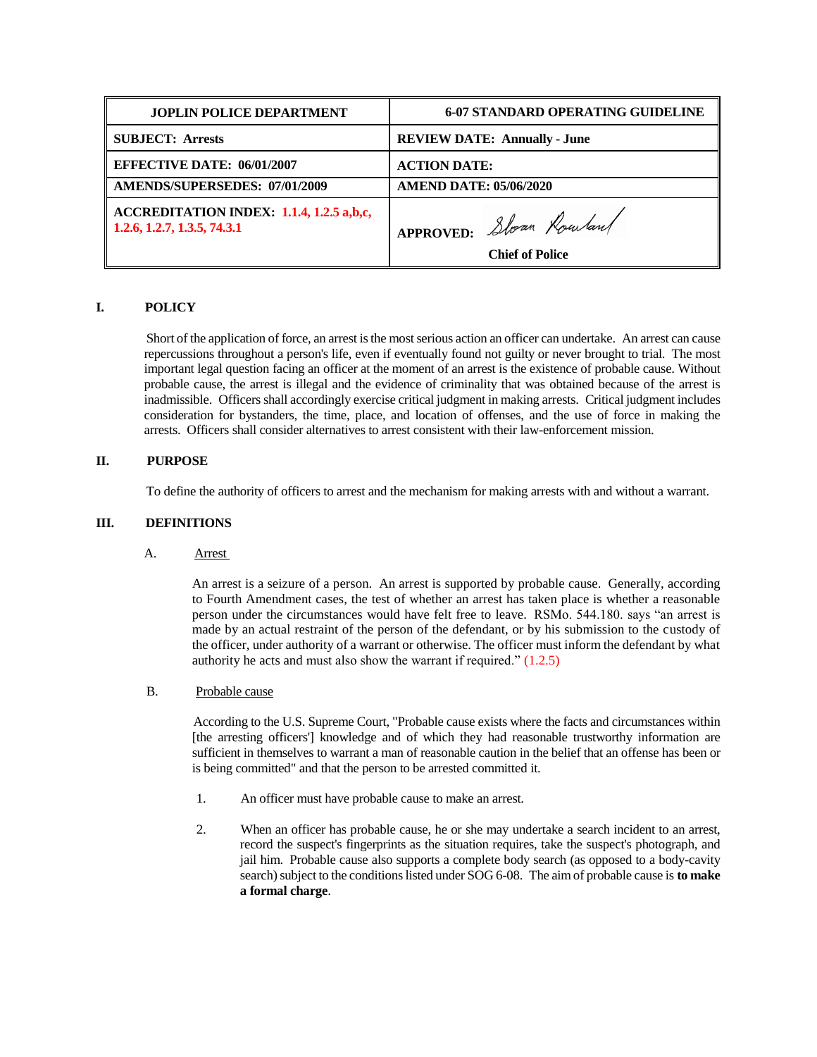| <b>JOPLIN POLICE DEPARTMENT</b>                                                     | <b>6-07 STANDARD OPERATING GUIDELINE</b> |
|-------------------------------------------------------------------------------------|------------------------------------------|
| <b>SUBJECT: Arrests</b>                                                             | <b>REVIEW DATE: Annually - June</b>      |
| <b>EFFECTIVE DATE: 06/01/2007</b>                                                   | <b>ACTION DATE:</b>                      |
| AMENDS/SUPERSEDES: 07/01/2009                                                       | <b>AMEND DATE: 05/06/2020</b>            |
| $\parallel$ ACCREDITATION INDEX: 1.1.4, 1.2.5 a,b,c,<br>1.2.6, 1.2.7, 1.3.5, 74.3.1 | I APPROVED: Slown Rowland                |
|                                                                                     | <b>Chief of Police</b>                   |

# **I. POLICY**

 Short of the application of force, an arrest is the most serious action an officer can undertake. An arrest can cause repercussions throughout a person's life, even if eventually found not guilty or never brought to trial. The most important legal question facing an officer at the moment of an arrest is the existence of probable cause. Without probable cause, the arrest is illegal and the evidence of criminality that was obtained because of the arrest is inadmissible. Officers shall accordingly exercise critical judgment in making arrests. Critical judgment includes consideration for bystanders, the time, place, and location of offenses, and the use of force in making the arrests. Officers shall consider alternatives to arrest consistent with their law-enforcement mission.

## **II. PURPOSE**

To define the authority of officers to arrest and the mechanism for making arrests with and without a warrant.

### **III. DEFINITIONS**

A. Arrest

An arrest is a seizure of a person. An arrest is supported by probable cause. Generally, according to Fourth Amendment cases, the test of whether an arrest has taken place is whether a reasonable person under the circumstances would have felt free to leave. RSMo. 544.180. says "an arrest is made by an actual restraint of the person of the defendant, or by his submission to the custody of the officer, under authority of a warrant or otherwise. The officer must inform the defendant by what authority he acts and must also show the warrant if required." (1.2.5)

### B. Probable cause

 According to the U.S. Supreme Court, "Probable cause exists where the facts and circumstances within [the arresting officers'] knowledge and of which they had reasonable trustworthy information are sufficient in themselves to warrant a man of reasonable caution in the belief that an offense has been or is being committed" and that the person to be arrested committed it.

- 1. An officer must have probable cause to make an arrest.
- 2. When an officer has probable cause, he or she may undertake a search incident to an arrest, record the suspect's fingerprints as the situation requires, take the suspect's photograph, and jail him. Probable cause also supports a complete body search (as opposed to a body-cavity search) subject to the conditions listed under SOG 6-08. The aim of probable cause is **to make a formal charge**.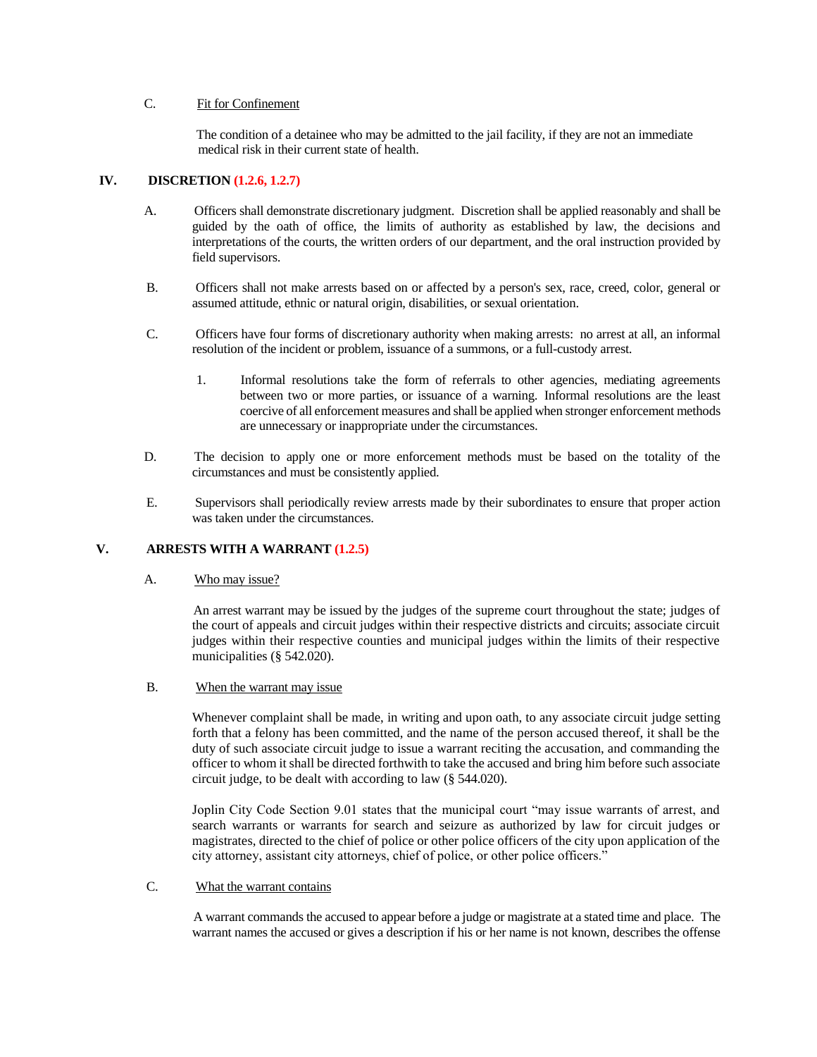## C. Fit for Confinement

 The condition of a detainee who may be admitted to the jail facility, if they are not an immediate medical risk in their current state of health.

### **IV. DISCRETION (1.2.6, 1.2.7)**

- A. Officers shall demonstrate discretionary judgment. Discretion shall be applied reasonably and shall be guided by the oath of office, the limits of authority as established by law, the decisions and interpretations of the courts, the written orders of our department, and the oral instruction provided by field supervisors.
- B. Officers shall not make arrests based on or affected by a person's sex, race, creed, color, general or assumed attitude, ethnic or natural origin, disabilities, or sexual orientation.
- C. Officers have four forms of discretionary authority when making arrests: no arrest at all, an informal resolution of the incident or problem, issuance of a summons, or a full-custody arrest.
	- 1. Informal resolutions take the form of referrals to other agencies, mediating agreements between two or more parties, or issuance of a warning. Informal resolutions are the least coercive of all enforcement measures and shall be applied when stronger enforcement methods are unnecessary or inappropriate under the circumstances.
- D. The decision to apply one or more enforcement methods must be based on the totality of the circumstances and must be consistently applied.
- E. Supervisors shall periodically review arrests made by their subordinates to ensure that proper action was taken under the circumstances.

## **V. ARRESTS WITH A WARRANT (1.2.5)**

A. Who may issue?

 An arrest warrant may be issued by the judges of the supreme court throughout the state; judges of the court of appeals and circuit judges within their respective districts and circuits; associate circuit judges within their respective counties and municipal judges within the limits of their respective municipalities (§ 542.020).

B. When the warrant may issue

Whenever complaint shall be made, in writing and upon oath, to any associate circuit judge setting forth that a felony has been committed, and the name of the person accused thereof, it shall be the duty of such associate circuit judge to issue a warrant reciting the accusation, and commanding the officer to whom it shall be directed forthwith to take the accused and bring him before such associate circuit judge, to be dealt with according to law (§ 544.020).

Joplin City Code Section 9.01 states that the municipal court "may issue warrants of arrest, and search warrants or warrants for search and seizure as authorized by law for circuit judges or magistrates, directed to the chief of police or other police officers of the city upon application of the city attorney, assistant city attorneys, chief of police, or other police officers."

### C. What the warrant contains

 A warrant commands the accused to appear before a judge or magistrate at a stated time and place. The warrant names the accused or gives a description if his or her name is not known, describes the offense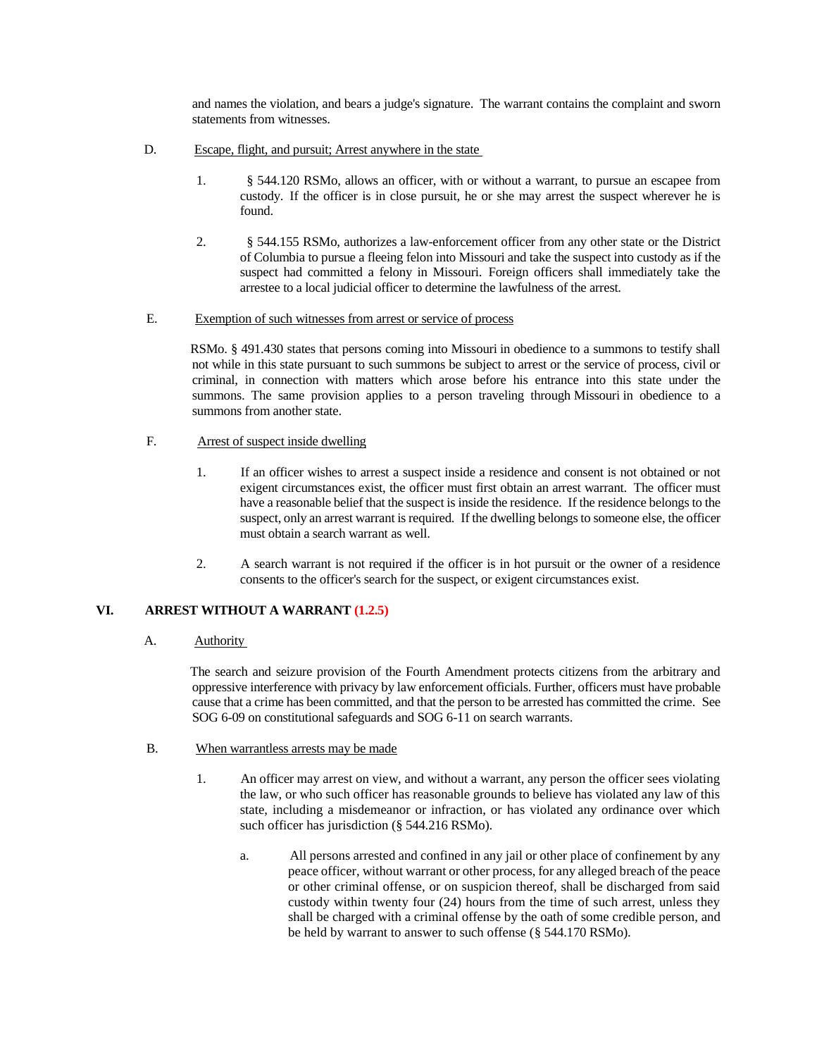and names the violation, and bears a judge's signature. The warrant contains the complaint and sworn statements from witnesses.

- D. Escape, flight, and pursuit; Arrest anywhere in the state
	- 1. § 544.120 RSMo, allows an officer, with or without a warrant, to pursue an escapee from custody. If the officer is in close pursuit, he or she may arrest the suspect wherever he is found.
	- 2. § 544.155 RSMo, authorizes a law-enforcement officer from any other state or the District of Columbia to pursue a fleeing felon into Missouri and take the suspect into custody as if the suspect had committed a felony in Missouri. Foreign officers shall immediately take the arrestee to a local judicial officer to determine the lawfulness of the arrest.

#### E. Exemption of such witnesses from arrest or service of process

 RSMo. § 491.430 states that persons coming into Missouri in obedience to a summons to testify shall not while in this state pursuant to such summons be subject to arrest or the service of process, civil or criminal, in connection with matters which arose before his entrance into this state under the summons. The same provision applies to a person traveling through Missouri in obedience to a summons from another state.

## F. Arrest of suspect inside dwelling

- 1. If an officer wishes to arrest a suspect inside a residence and consent is not obtained or not exigent circumstances exist, the officer must first obtain an arrest warrant. The officer must have a reasonable belief that the suspect is inside the residence. If the residence belongs to the suspect, only an arrest warrant is required. If the dwelling belongs to someone else, the officer must obtain a search warrant as well.
- 2. A search warrant is not required if the officer is in hot pursuit or the owner of a residence consents to the officer's search for the suspect, or exigent circumstances exist.

## **VI. ARREST WITHOUT A WARRANT (1.2.5)**

## A. Authority

 The search and seizure provision of the Fourth Amendment protects citizens from the arbitrary and oppressive interference with privacy by law enforcement officials. Further, officers must have probable cause that a crime has been committed, and that the person to be arrested has committed the crime. See SOG 6-09 on constitutional safeguards and SOG 6-11 on search warrants.

- B. When warrantless arrests may be made
	- 1. An officer may arrest on view, and without a warrant, any person the officer sees violating the law, or who such officer has reasonable grounds to believe has violated any law of this state, including a misdemeanor or infraction, or has violated any ordinance over which such officer has jurisdiction (§ 544.216 RSMo).
		- a. All persons arrested and confined in any jail or other place of confinement by any peace officer, without warrant or other process, for any alleged breach of the peace or other criminal offense, or on suspicion thereof, shall be discharged from said custody within twenty four (24) hours from the time of such arrest, unless they shall be charged with a criminal offense by the oath of some credible person, and be held by warrant to answer to such offense (§ 544.170 RSMo).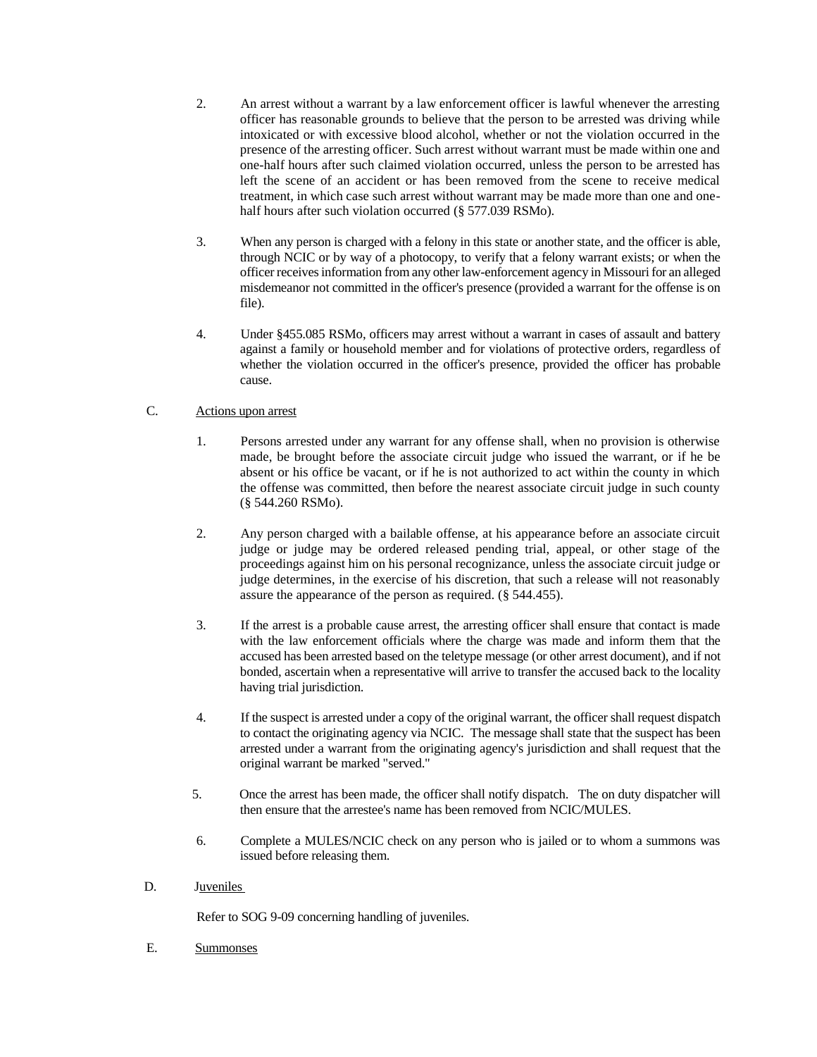- 2. An arrest without a warrant by a law enforcement officer is lawful whenever the arresting officer has reasonable grounds to believe that the person to be arrested was driving while intoxicated or with excessive blood alcohol, whether or not the violation occurred in the presence of the arresting officer. Such arrest without warrant must be made within one and one-half hours after such claimed violation occurred, unless the person to be arrested has left the scene of an accident or has been removed from the scene to receive medical treatment, in which case such arrest without warrant may be made more than one and onehalf hours after such violation occurred (§ 577.039 RSMo).
- 3. When any person is charged with a felony in this state or another state, and the officer is able, through NCIC or by way of a photocopy, to verify that a felony warrant exists; or when the officer receives information from any other law-enforcement agency in Missouri for an alleged misdemeanor not committed in the officer's presence (provided a warrant for the offense is on file).
- 4. Under §455.085 RSMo, officers may arrest without a warrant in cases of assault and battery against a family or household member and for violations of protective orders, regardless of whether the violation occurred in the officer's presence, provided the officer has probable cause.

## C. Actions upon arrest

- 1. Persons arrested under any warrant for any offense shall, when no provision is otherwise made, be brought before the associate circuit judge who issued the warrant, or if he be absent or his office be vacant, or if he is not authorized to act within the county in which the offense was committed, then before the nearest associate circuit judge in such county (§ 544.260 RSMo).
- 2. Any person charged with a bailable offense, at his appearance before an associate circuit judge or judge may be ordered released pending trial, appeal, or other stage of the proceedings against him on his personal recognizance, unless the associate circuit judge or judge determines, in the exercise of his discretion, that such a release will not reasonably assure the appearance of the person as required. (§ 544.455).
- 3. If the arrest is a probable cause arrest, the arresting officer shall ensure that contact is made with the law enforcement officials where the charge was made and inform them that the accused has been arrested based on the teletype message (or other arrest document), and if not bonded, ascertain when a representative will arrive to transfer the accused back to the locality having trial jurisdiction.
- 4. If the suspect is arrested under a copy of the original warrant, the officer shall request dispatch to contact the originating agency via NCIC. The message shall state that the suspect has been arrested under a warrant from the originating agency's jurisdiction and shall request that the original warrant be marked "served."
- 5. Once the arrest has been made, the officer shall notify dispatch. The on duty dispatcher will then ensure that the arrestee's name has been removed from NCIC/MULES.
- 6. Complete a MULES/NCIC check on any person who is jailed or to whom a summons was issued before releasing them.
- D. Juveniles

Refer to SOG 9-09 concerning handling of juveniles.

E. Summonses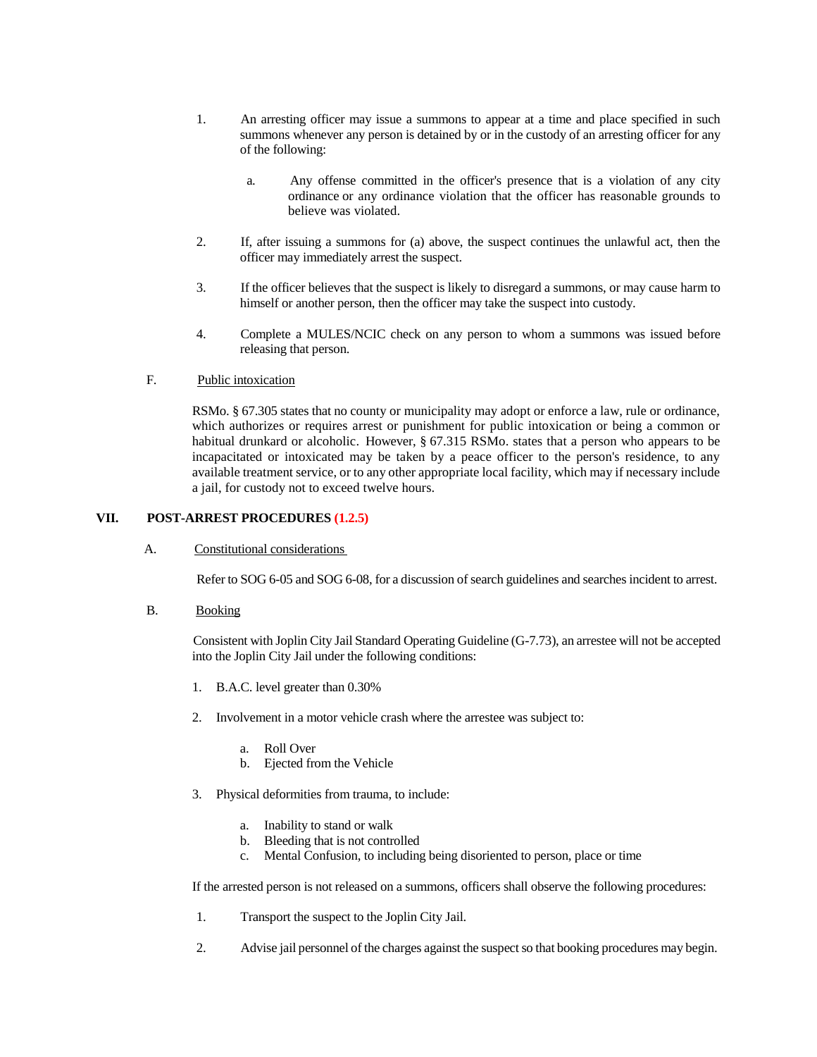- 1. An arresting officer may issue a summons to appear at a time and place specified in such summons whenever any person is detained by or in the custody of an arresting officer for any of the following:
	- a. Any offense committed in the officer's presence that is a violation of any city ordinance or any ordinance violation that the officer has reasonable grounds to believe was violated.
- 2. If, after issuing a summons for (a) above, the suspect continues the unlawful act, then the officer may immediately arrest the suspect.
- 3. If the officer believes that the suspect is likely to disregard a summons, or may cause harm to himself or another person, then the officer may take the suspect into custody.
- 4. Complete a MULES/NCIC check on any person to whom a summons was issued before releasing that person.

### F. Public intoxication

RSMo. § 67.305 states that no county or municipality may adopt or enforce a law, rule or ordinance, which authorizes or requires arrest or punishment for public intoxication or being a common or habitual drunkard or alcoholic. However, § 67.315 RSMo. states that a person who appears to be incapacitated or intoxicated may be taken by a peace officer to the person's residence, to any available treatment service, or to any other appropriate local facility, which may if necessary include a jail, for custody not to exceed twelve hours.

### **VII. POST-ARREST PROCEDURES (1.2.5)**

A. Constitutional considerations

Refer to SOG 6-05 and SOG 6-08, for a discussion of search guidelines and searches incident to arrest.

B. Booking

 Consistent with Joplin City Jail Standard Operating Guideline (G-7.73), an arrestee will not be accepted into the Joplin City Jail under the following conditions:

- 1. B.A.C. level greater than 0.30%
- 2. Involvement in a motor vehicle crash where the arrestee was subject to:
	- a. Roll Over
	- b. Ejected from the Vehicle
- 3. Physical deformities from trauma, to include:
	- a. Inability to stand or walk
	- b. Bleeding that is not controlled
	- c. Mental Confusion, to including being disoriented to person, place or time

If the arrested person is not released on a summons, officers shall observe the following procedures:

- 1. Transport the suspect to the Joplin City Jail.
- 2. Advise jail personnel of the charges against the suspect so that booking procedures may begin.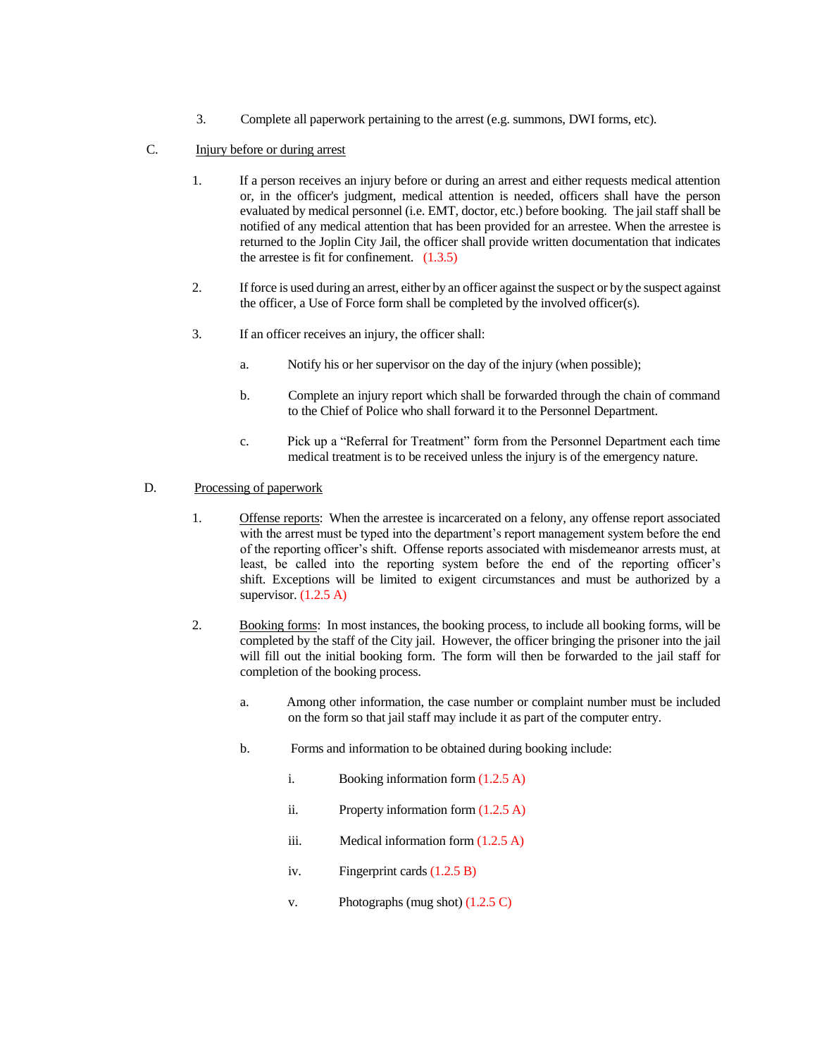3. Complete all paperwork pertaining to the arrest (e.g. summons, DWI forms, etc).

### C. Injury before or during arrest

- 1. If a person receives an injury before or during an arrest and either requests medical attention or, in the officer's judgment, medical attention is needed, officers shall have the person evaluated by medical personnel (i.e. EMT, doctor, etc.) before booking. The jail staff shall be notified of any medical attention that has been provided for an arrestee. When the arrestee is returned to the Joplin City Jail, the officer shall provide written documentation that indicates the arrestee is fit for confinement. (1.3.5)
- 2. If force is used during an arrest, either by an officer against the suspect or by the suspect against the officer, a Use of Force form shall be completed by the involved officer(s).
- 3. If an officer receives an injury, the officer shall:
	- a. Notify his or her supervisor on the day of the injury (when possible);
	- b. Complete an injury report which shall be forwarded through the chain of command to the Chief of Police who shall forward it to the Personnel Department.
	- c. Pick up a "Referral for Treatment" form from the Personnel Department each time medical treatment is to be received unless the injury is of the emergency nature.

#### D. Processing of paperwork

- 1. Offense reports: When the arrestee is incarcerated on a felony, any offense report associated with the arrest must be typed into the department's report management system before the end of the reporting officer's shift. Offense reports associated with misdemeanor arrests must, at least, be called into the reporting system before the end of the reporting officer's shift. Exceptions will be limited to exigent circumstances and must be authorized by a supervisor.  $(1.2.5 \text{ A})$
- 2. Booking forms: In most instances, the booking process, to include all booking forms, will be completed by the staff of the City jail. However, the officer bringing the prisoner into the jail will fill out the initial booking form. The form will then be forwarded to the jail staff for completion of the booking process.
	- a. Among other information, the case number or complaint number must be included on the form so that jail staff may include it as part of the computer entry.
	- b. Forms and information to be obtained during booking include:
		- i. Booking information form (1.2.5 A)
		- ii. Property information form (1.2.5 A)
		- iii. Medical information form (1.2.5 A)
		- iv. Fingerprint cards (1.2.5 B)
		- v. Photographs (mug shot)  $(1.2.5 \text{ C})$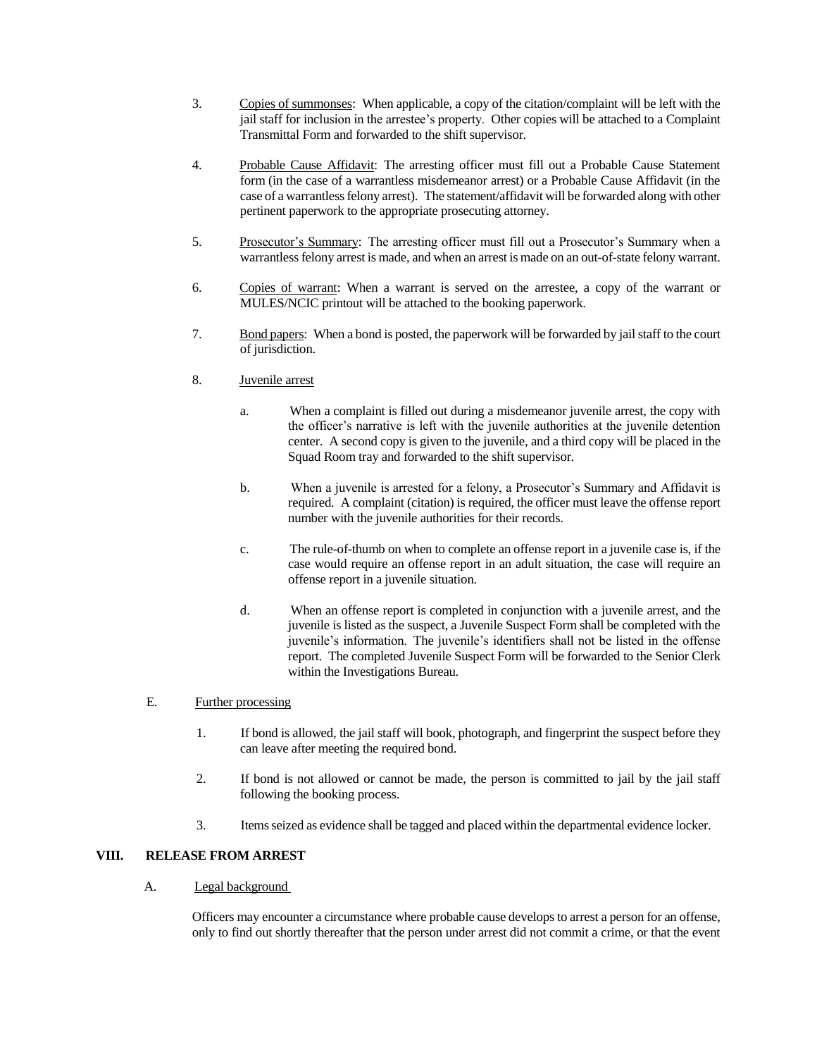- 3. Copies of summonses: When applicable, a copy of the citation/complaint will be left with the jail staff for inclusion in the arrestee's property. Other copies will be attached to a Complaint Transmittal Form and forwarded to the shift supervisor.
- 4. Probable Cause Affidavit: The arresting officer must fill out a Probable Cause Statement form (in the case of a warrantless misdemeanor arrest) or a Probable Cause Affidavit (in the case of a warrantless felony arrest). The statement/affidavit will be forwarded along with other pertinent paperwork to the appropriate prosecuting attorney.
- 5. Prosecutor's Summary: The arresting officer must fill out a Prosecutor's Summary when a warrantless felony arrest is made, and when an arrest is made on an out-of-state felony warrant.
- 6. Copies of warrant: When a warrant is served on the arrestee, a copy of the warrant or MULES/NCIC printout will be attached to the booking paperwork.
- 7. Bond papers: When a bond is posted, the paperwork will be forwarded by jail staff to the court of jurisdiction.
- 8. Juvenile arrest
	- a. When a complaint is filled out during a misdemeanor juvenile arrest, the copy with the officer's narrative is left with the juvenile authorities at the juvenile detention center. A second copy is given to the juvenile, and a third copy will be placed in the Squad Room tray and forwarded to the shift supervisor.
	- b. When a juvenile is arrested for a felony, a Prosecutor's Summary and Affidavit is required. A complaint (citation) is required, the officer must leave the offense report number with the juvenile authorities for their records.
	- c. The rule-of-thumb on when to complete an offense report in a juvenile case is, if the case would require an offense report in an adult situation, the case will require an offense report in a juvenile situation.
	- d. When an offense report is completed in conjunction with a juvenile arrest, and the juvenile is listed as the suspect, a Juvenile Suspect Form shall be completed with the juvenile's information. The juvenile's identifiers shall not be listed in the offense report. The completed Juvenile Suspect Form will be forwarded to the Senior Clerk within the Investigations Bureau.

## E. Further processing

- 1. If bond is allowed, the jail staff will book, photograph, and fingerprint the suspect before they can leave after meeting the required bond.
- 2. If bond is not allowed or cannot be made, the person is committed to jail by the jail staff following the booking process.
- 3. Items seized as evidence shall be tagged and placed within the departmental evidence locker.

## **VIII. RELEASE FROM ARREST**

#### A. Legal background

Officers may encounter a circumstance where probable cause develops to arrest a person for an offense, only to find out shortly thereafter that the person under arrest did not commit a crime, or that the event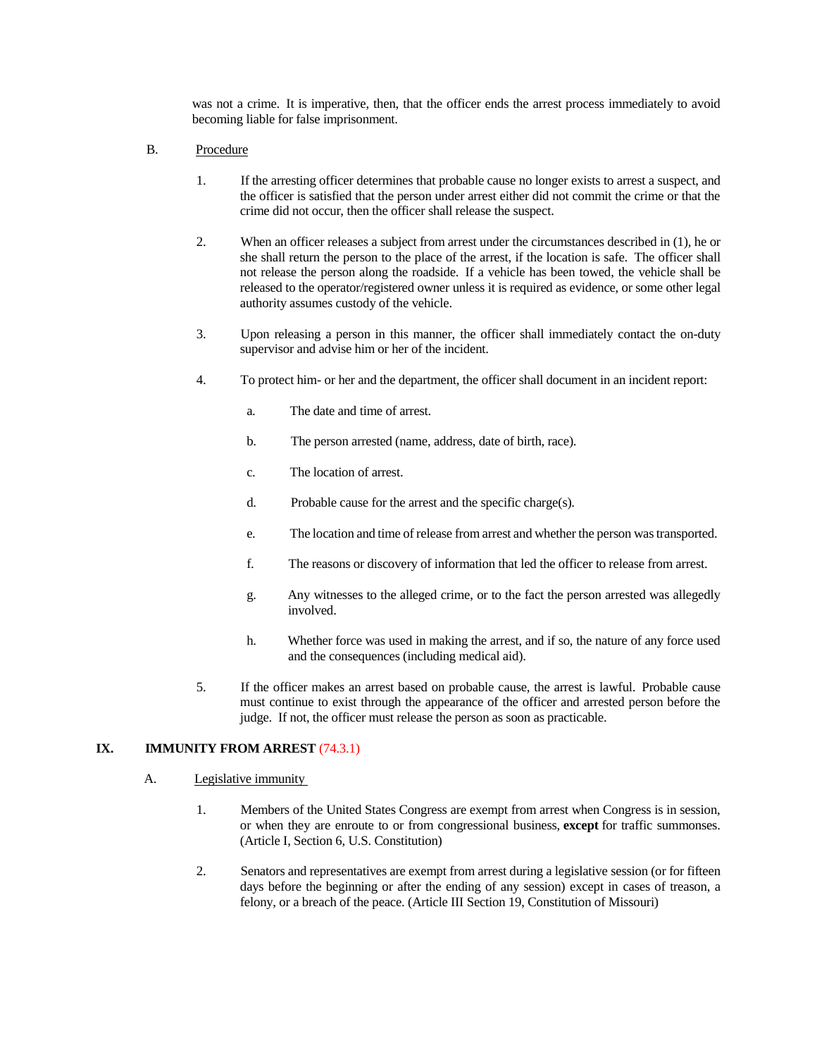was not a crime. It is imperative, then, that the officer ends the arrest process immediately to avoid becoming liable for false imprisonment.

### B. Procedure

- 1. If the arresting officer determines that probable cause no longer exists to arrest a suspect, and the officer is satisfied that the person under arrest either did not commit the crime or that the crime did not occur, then the officer shall release the suspect.
- 2. When an officer releases a subject from arrest under the circumstances described in (1), he or she shall return the person to the place of the arrest, if the location is safe. The officer shall not release the person along the roadside. If a vehicle has been towed, the vehicle shall be released to the operator/registered owner unless it is required as evidence, or some other legal authority assumes custody of the vehicle.
- 3. Upon releasing a person in this manner, the officer shall immediately contact the on-duty supervisor and advise him or her of the incident.
- 4. To protect him- or her and the department, the officer shall document in an incident report:
	- a. The date and time of arrest.
	- b. The person arrested (name, address, date of birth, race).
	- c. The location of arrest.
	- d. Probable cause for the arrest and the specific charge(s).
	- e. The location and time of release from arrest and whether the person was transported.
	- f. The reasons or discovery of information that led the officer to release from arrest.
	- g. Any witnesses to the alleged crime, or to the fact the person arrested was allegedly involved.
	- h. Whether force was used in making the arrest, and if so, the nature of any force used and the consequences (including medical aid).
- 5. If the officer makes an arrest based on probable cause, the arrest is lawful. Probable cause must continue to exist through the appearance of the officer and arrested person before the judge. If not, the officer must release the person as soon as practicable.

## **IX. IMMUNITY FROM ARREST** (74.3.1)

#### A. Legislative immunity

- 1. Members of the United States Congress are exempt from arrest when Congress is in session, or when they are enroute to or from congressional business, **except** for traffic summonses. (Article I, Section 6, U.S. Constitution)
- 2. Senators and representatives are exempt from arrest during a legislative session (or for fifteen days before the beginning or after the ending of any session) except in cases of treason, a felony, or a breach of the peace. (Article III Section 19, Constitution of Missouri)